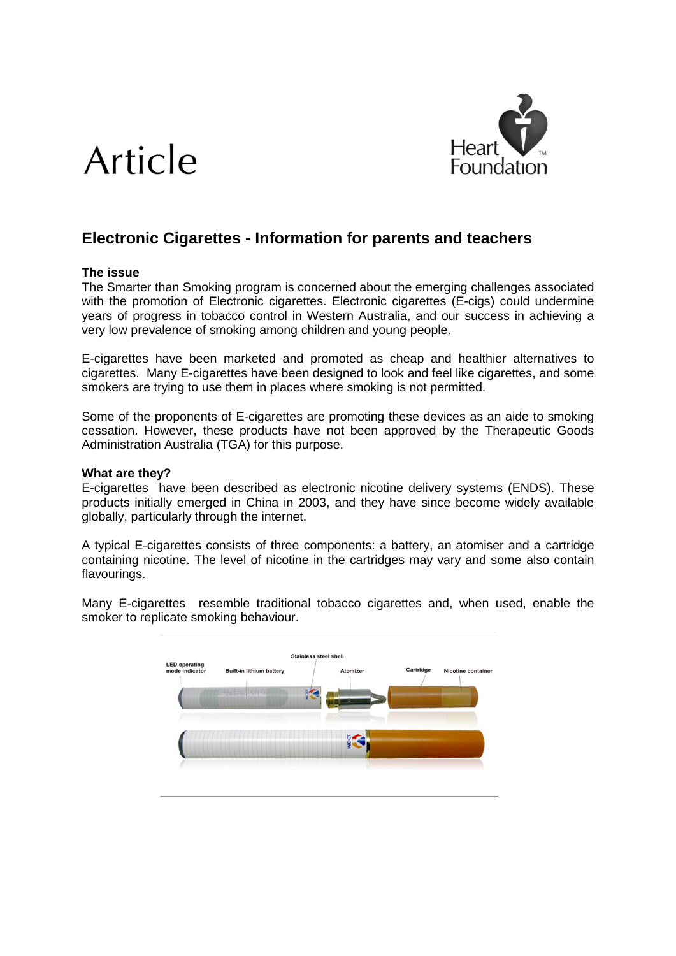# Article



# **Electronic Cigarettes - Information for parents and teachers**

# **The issue**

The Smarter than Smoking program is concerned about the emerging challenges associated with the promotion of Electronic cigarettes. Electronic cigarettes (E-cigs) could undermine years of progress in tobacco control in Western Australia, and our success in achieving a very low prevalence of smoking among children and young people.

E-cigarettes have been marketed and promoted as cheap and healthier alternatives to cigarettes. Many E-cigarettes have been designed to look and feel like cigarettes, and some smokers are trying to use them in places where smoking is not permitted.

Some of the proponents of E-cigarettes are promoting these devices as an aide to smoking cessation. However, these products have not been approved by the Therapeutic Goods Administration Australia (TGA) for this purpose.

# **What are they?**

E-cigarettes have been described as electronic nicotine delivery systems (ENDS). These products initially emerged in China in 2003, and they have since become widely available globally, particularly through the internet.

A typical E-cigarettes consists of three components: a battery, an atomiser and a cartridge containing nicotine. The level of nicotine in the cartridges may vary and some also contain flavourings.

Many E-cigarettes resemble traditional tobacco cigarettes and, when used, enable the smoker to replicate smoking behaviour.

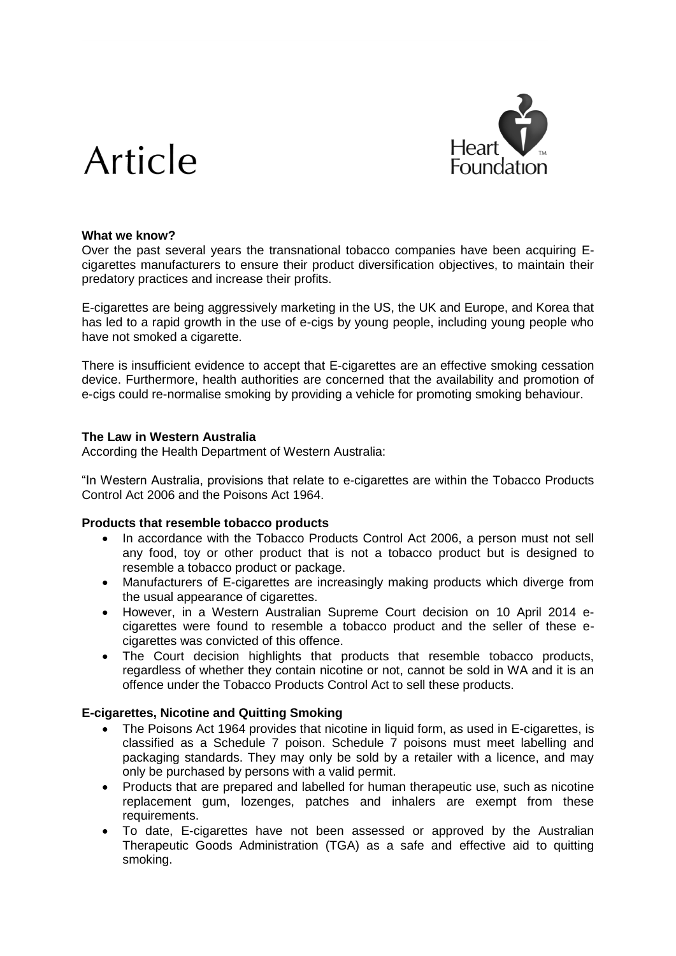# Article



#### **What we know?**

Over the past several years the transnational tobacco companies have been acquiring Ecigarettes manufacturers to ensure their product diversification objectives, to maintain their predatory practices and increase their profits.

E-cigarettes are being aggressively marketing in the US, the UK and Europe, and Korea that has led to a rapid growth in the use of e-cigs by young people, including young people who have not smoked a cigarette.

There is insufficient evidence to accept that E-cigarettes are an effective smoking cessation device. Furthermore, health authorities are concerned that the availability and promotion of e-cigs could re-normalise smoking by providing a vehicle for promoting smoking behaviour.

#### **The Law in Western Australia**

According the Health Department of Western Australia:

"In Western Australia, provisions that relate to e-cigarettes are within the Tobacco Products Control Act 2006 and the Poisons Act 1964.

#### **Products that resemble tobacco products**

- In accordance with the Tobacco Products Control Act 2006, a person must not sell any food, toy or other product that is not a tobacco product but is designed to resemble a tobacco product or package.
- Manufacturers of E-cigarettes are increasingly making products which diverge from the usual appearance of cigarettes.
- However, in a Western Australian Supreme Court decision on 10 April 2014 ecigarettes were found to resemble a tobacco product and the seller of these ecigarettes was convicted of this offence.
- The Court decision highlights that products that resemble tobacco products, regardless of whether they contain nicotine or not, cannot be sold in WA and it is an offence under the Tobacco Products Control Act to sell these products.

# **E-cigarettes, Nicotine and Quitting Smoking**

- The Poisons Act 1964 provides that nicotine in liquid form, as used in E-cigarettes, is classified as a Schedule 7 poison. Schedule 7 poisons must meet labelling and packaging standards. They may only be sold by a retailer with a licence, and may only be purchased by persons with a valid permit.
- Products that are prepared and labelled for human therapeutic use, such as nicotine replacement gum, lozenges, patches and inhalers are exempt from these requirements.
- To date, E-cigarettes have not been assessed or approved by the Australian Therapeutic Goods Administration (TGA) as a safe and effective aid to quitting smoking.